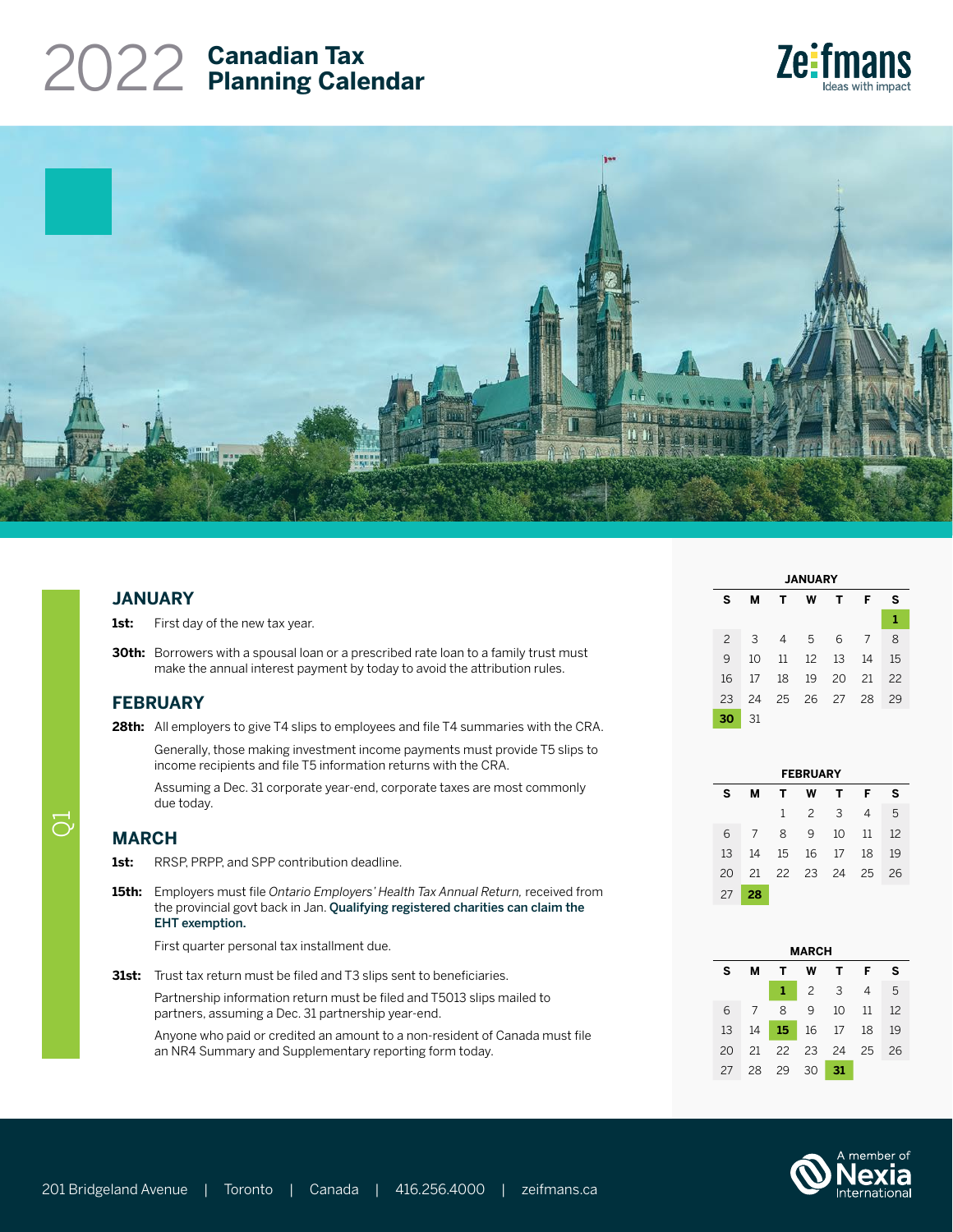# **Canadian Tax** 2022 **Planning Calendar**





### **JANUARY**

1st: First day of the new tax year.

**30th:** Borrowers with a spousal loan or a prescribed rate loan to a family trust must make the annual interest payment by today to avoid the attribution rules.

### **FEBRUARY**

28th: All employers to give T4 slips to employees and file T4 summaries with the CRA.

Generally, those making investment income payments must provide T5 slips to income recipients and file T5 information returns with the CRA.

Assuming a Dec. 31 corporate year-end, corporate taxes are most commonly due today.

## **MARCH**

 $\overline{O}$ 

- 1st: RRSP, PRPP, and SPP contribution deadline.
- **15th:** Employers must file *Ontario Employers' Health Tax Annual Return,* received from the provincial govt back in Jan. [Qualifying registered charities can claim the](https://www.fin.gov.on.ca/en/tax/eht/registeredcharities.html)  [EHT exemption.](https://www.fin.gov.on.ca/en/tax/eht/registeredcharities.html)

First quarter personal tax installment due.

**31st:** Trust tax return must be filed and T3 slips sent to beneficiaries.

Partnership information return must be filed and T5013 slips mailed to partners, assuming a Dec. 31 partnership year-end.

Anyone who paid or credited an amount to a non-resident of Canada must file an NR4 Summary and Supplementary reporting form today.

| <b>JANUARY</b> |    |    |    |    |    |    |  |
|----------------|----|----|----|----|----|----|--|
| s              | м  | т  | w  | т  | F  | s  |  |
|                |    |    |    |    |    | 1  |  |
| $\overline{c}$ | 3  | 4  | 5  | 6  | 7  | 8  |  |
| 9              | 10 | 11 | 12 | 13 | 14 | 15 |  |
| 16             | 17 | 18 | 19 | 20 | 21 | 22 |  |
| 23             | 24 | 25 | 26 | 27 | 28 | 29 |  |
| 30             | 31 |    |    |    |    |    |  |

| <b>FEBRUARY</b> |    |    |                |     |      |    |  |  |
|-----------------|----|----|----------------|-----|------|----|--|--|
| s               | м  | т  | w              | т   | F    | s  |  |  |
|                 |    | 1  | $\overline{2}$ | 3   | 4    | 5  |  |  |
| 6               | 7  | 8  | 9              | 10  | 11   | 12 |  |  |
| 13              | 14 | 15 | 16             | 17  | 18   | 19 |  |  |
| 20              | 21 | 22 | 23             | -24 | - 25 | 26 |  |  |
| 27              | 28 |    |                |     |      |    |  |  |

| <b>MARCH</b> |    |    |    |    |    |    |  |  |
|--------------|----|----|----|----|----|----|--|--|
| s            | м  | т  | w  | т  | F  | s  |  |  |
|              |    | 1  | 2  | 3  | 4  | 5  |  |  |
| 6            | 7  | 8  | 9  | 10 | 11 | 12 |  |  |
| 13           | 14 | 15 | 16 | 17 | 18 | 19 |  |  |
| 20           | 21 | 22 | 23 | 24 | 25 | 26 |  |  |
| 27           | 28 | 29 | 30 | 31 |    |    |  |  |

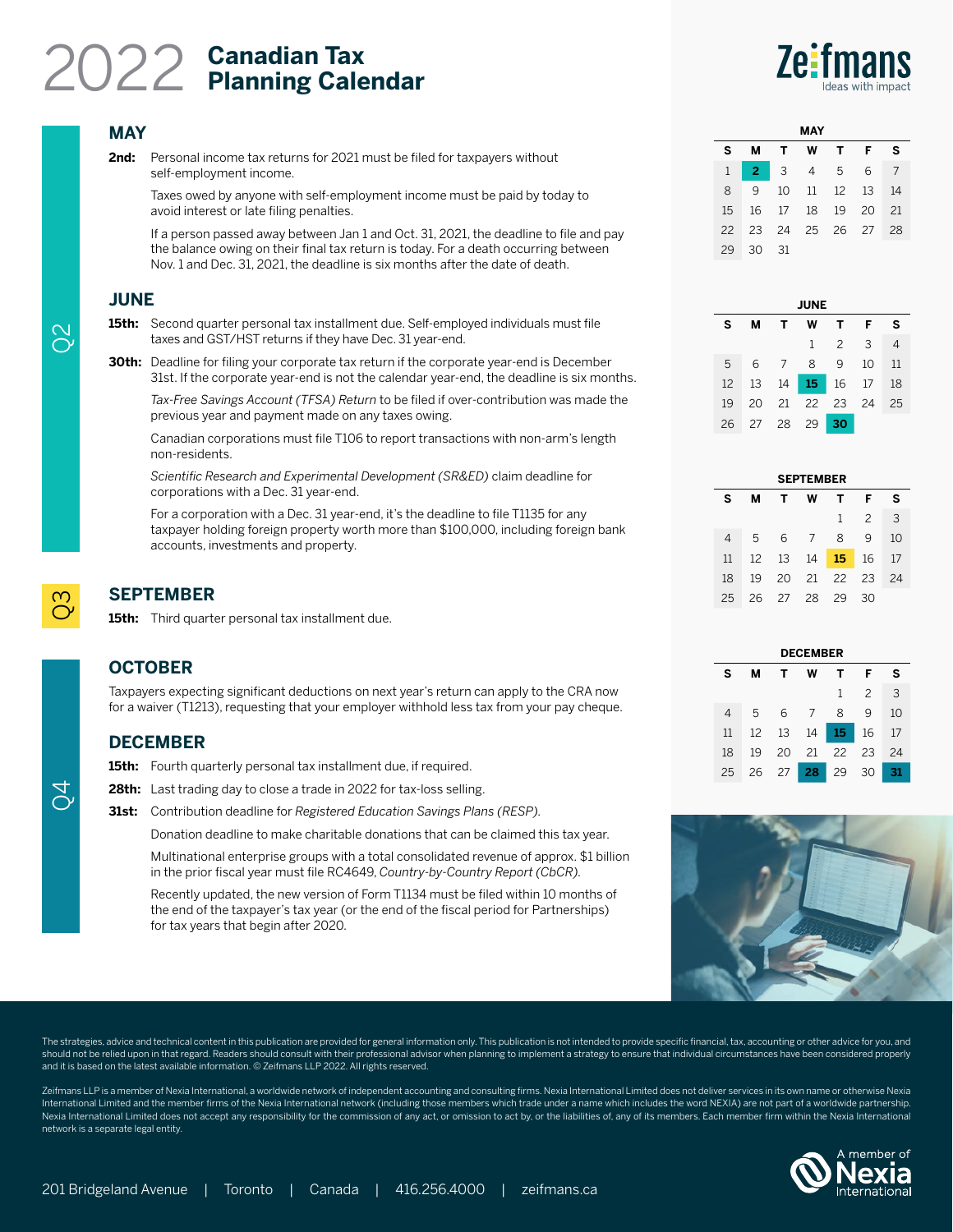# **Canadian Tax** 2022 **Planning Calendar**

### **MAY**

**2nd:** Personal income tax returns for 2021 must be filed for taxpayers without self-employment income.

Taxes owed by anyone with self-employment income must be paid by today to avoid interest or late filing penalties.

If a person passed away between Jan 1 and Oct. 31, 2021, the deadline to file and pay the balance owing on their final tax return is today. For a death occurring between Nov. 1 and Dec. 31, 2021, the deadline is six months after the date of death.

### **JUNE**

15th: Second quarter personal tax installment due. Self-employed individuals must file taxes and GST/HST returns if they have Dec. 31 year-end.

**30th:** Deadline for filing your corporate tax return if the corporate year-end is December 31st. If the corporate year-end is not the calendar year-end, the deadline is six months.

*Tax-Free Savings Account (TFSA) Return* to be filed if over-contribution was made the previous year and payment made on any taxes owing.

Canadian corporations must file T106 to report transactions with non-arm's length non-residents.

*Scientific Research and Experimental Development (SR&ED)* claim deadline for corporations with a Dec. 31 year-end.

For a corporation with a Dec. 31 year-end, it's the deadline to file T1135 for any taxpayer holding foreign property worth more than \$100,000, including foreign bank accounts, investments and property.

## **SEPTEMBER**

15th: Third quarter personal tax installment due.

## **OCTOBER**

Taxpayers expecting significant deductions on next year's return can apply to the CRA now for a waiver (T1213), requesting that your employer withhold less tax from your pay cheque.

## **DECEMBER**

15th: Fourth quarterly personal tax installment due, if required.

28th: Last trading day to close a trade in 2022 for tax-loss selling.

**31st:** Contribution deadline for *Registered Education Savings Plans (RESP).*

Donation deadline to make charitable donations that can be claimed this tax year.

Multinational enterprise groups with a total consolidated revenue of approx. \$1 billion in the prior fiscal year must file RC4649, *Country-by-Country Report (CbCR).*

Recently updated, the new version of Form T1134 must be filed within 10 months of the end of the taxpayer's tax year (or the end of the fiscal period for Partnerships) for tax years that begin after 2020.

| MAY |    |              |      |                 |     |    |  |  |  |  |
|-----|----|--------------|------|-----------------|-----|----|--|--|--|--|
| s   | М  | т            | W    | т               | F   | s  |  |  |  |  |
| 1   | 2  | $\mathbf{3}$ | 4    | - 5             | 6   | 7  |  |  |  |  |
| 8   | 9  | 10           | 11   | 12 <sup>2</sup> | 13  | 14 |  |  |  |  |
| 15  | 16 | 17           | 18   | 19              | -20 | 21 |  |  |  |  |
| 22  | 23 | 24           | - 25 | 26 27           |     | 28 |  |  |  |  |
| 29  | 30 | 31           |      |                 |     |    |  |  |  |  |

| <b>JUNE</b> |    |                |              |                |                         |    |  |  |  |  |
|-------------|----|----------------|--------------|----------------|-------------------------|----|--|--|--|--|
| s           | м  | т              | W            | т.             | F                       | s  |  |  |  |  |
|             |    |                | $\mathbf{1}$ | $\overline{2}$ | $\overline{\mathbf{3}}$ | 4  |  |  |  |  |
| 5           | 6  | $\overline{7}$ | 8            | 9              | 10                      | 11 |  |  |  |  |
| 12          | 13 | 14             |              | 15 16 17       |                         | 18 |  |  |  |  |
| 19          | 20 | 21             |              | 22 23 24       |                         | 25 |  |  |  |  |
| 26          | 27 | 28             | 29           | 30             |                         |    |  |  |  |  |

| <b>SEPTEMBER</b> |    |    |                 |                 |               |    |  |  |  |  |
|------------------|----|----|-----------------|-----------------|---------------|----|--|--|--|--|
| s                | м  | т  | w               | т               | F             | s  |  |  |  |  |
|                  |    |    |                 | $\mathbf{1}$    | $\mathcal{P}$ | 3  |  |  |  |  |
| 4                | 5  | 6  | $7\overline{ }$ | 8               | 9             | 10 |  |  |  |  |
| 11               | 12 | 13 | 14              | 15 <sub>1</sub> | 16            | 17 |  |  |  |  |
| 18               | 19 | 20 | 21              | 22 23           |               | 24 |  |  |  |  |
| 25               | 26 | 27 | 28              | 29              | 30            |    |  |  |  |  |

| <b>DECEMBER</b> |                       |    |    |                 |               |    |  |  |  |  |  |
|-----------------|-----------------------|----|----|-----------------|---------------|----|--|--|--|--|--|
| s               | F<br>w<br>т<br>м<br>т |    |    |                 |               |    |  |  |  |  |  |
|                 |                       |    |    | $\mathbf{1}$    | $\mathcal{P}$ | 3  |  |  |  |  |  |
| 4               | 5                     | 6  | 7  | 8               | 9             | 10 |  |  |  |  |  |
| 11              | 12 <sup>2</sup>       | 13 | 14 | 15 <sub>1</sub> | 16            | 17 |  |  |  |  |  |
| 18              | 19                    | 20 | 21 | 22              | 23            | 24 |  |  |  |  |  |
| 25              | 26                    | 27 | 28 | 29              | 30            |    |  |  |  |  |  |



The strategies, advice and technical content in this publication are provided for general information only. This publication is not intended to provide specific financial, tax, accounting or other advice for you, and should not be relied upon in that regard. Readers should consult with their professional advisor when planning to implement a strategy to ensure that individual circumstances have been considered properly and it is based on the latest available information. © Zeifmans LLP 2022. All rights reserved.

Zeifmans LLP is a member of Nexia International, a worldwide network of independent accounting and consulting firms. Nexia International Limited does not deliver services in its own name or otherwise Nexia International Limited and the member firms of the Nexia International network (including those members which trade under a name which includes the word NEXIA) are not part of a worldwide partnership. Nexia International Limited does not accept any responsibility for the commission of any act, or omission to act by, or the liabilities of, any of its members. Each member firm within the Nexia International network is a separate legal entity.



 $\infty$ 

တ Q4  $Q3$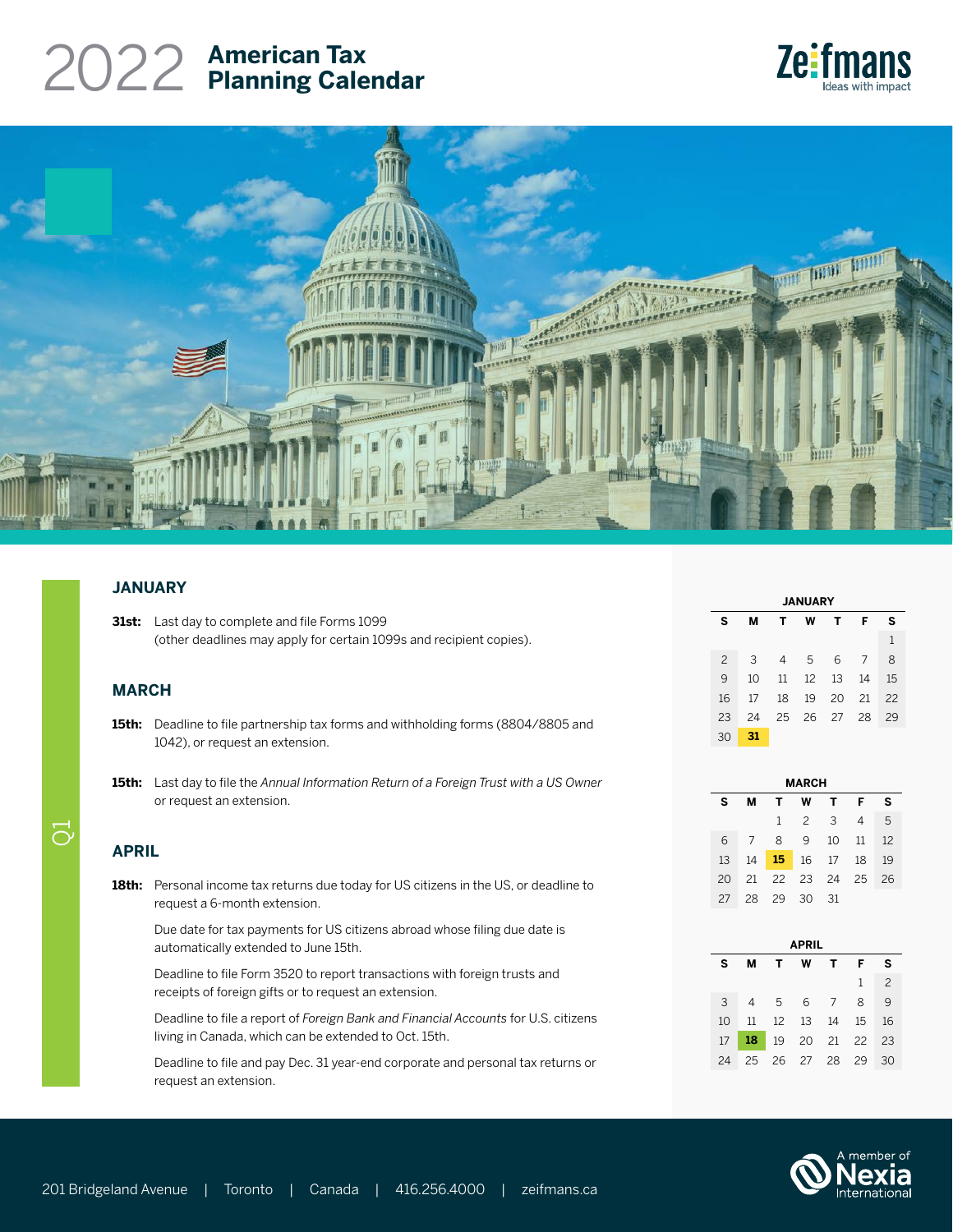## **American Tax** 2022 **Planning Calendar**





### **JANUARY**

| <b>31st:</b> Last day to complete and file Forms 1099               |
|---------------------------------------------------------------------|
| (other deadlines may apply for certain 1099s and recipient copies). |

### **MARCH**

- **15th:** Deadline to file partnership tax forms and withholding forms (8804/8805 and 1042), or request an extension.
- **15th:** Last day to file the *Annual Information Return of a Foreign Trust with a US Owner* or request an extension.

### **APRIL**

 $\overline{O}$ 

18th: Personal income tax returns due today for US citizens in the US, or deadline to request a 6-month extension.

Due date for tax payments for US citizens abroad whose filing due date is automatically extended to June 15th.

Deadline to file Form 3520 to report transactions with foreign trusts and receipts of foreign gifts or to request an extension.

Deadline to file a report of *Foreign Bank and Financial Accounts* for U.S. citizens living in Canada, which can be extended to Oct. 15th.

Deadline to file and pay Dec. 31 year-end corporate and personal tax returns or request an extension.

| <b>JANUARY</b> |    |    |    |    |    |    |  |  |
|----------------|----|----|----|----|----|----|--|--|
| s              | м  | т  | w  | т  | F  | s  |  |  |
|                |    |    |    |    |    | 1  |  |  |
| $\mathcal{P}$  | 3  | 4  | 5  | 6  | 7  | 8  |  |  |
| 9              | 10 | 11 | 12 | 13 | 14 | 15 |  |  |
| 16             | 17 | 18 | 19 | 20 | 21 | 22 |  |  |
| 23             | 24 | 25 | 26 | 27 | 28 | 29 |  |  |
| 30             | 31 |    |    |    |    |    |  |  |

| <b>MARCH</b> |    |              |                |       |    |    |  |  |
|--------------|----|--------------|----------------|-------|----|----|--|--|
| s            | м  | т            | w              | т     | F  | s  |  |  |
|              |    | $\mathbf{1}$ | $\overline{2}$ | 3     | 4  | 5  |  |  |
| 6            | 7  | 8            | 9              | 10    | 11 | 12 |  |  |
| 13           | 14 | 15           | 16             | 17    | 18 | 19 |  |  |
| 20           | 21 | 22           | 23             | 24 25 |    | 26 |  |  |
| 27           | 28 | -29          | 30             | 31    |    |    |  |  |

| <b>APRIL</b> |    |                 |                |     |              |                |  |  |  |
|--------------|----|-----------------|----------------|-----|--------------|----------------|--|--|--|
| s            | м  | T.              | w              | T.  | F            | s              |  |  |  |
|              |    |                 |                |     | $\mathbf{1}$ | $\mathfrak{D}$ |  |  |  |
| 3            | 4  | $5\overline{)}$ |                | 6 7 | 8            | $\mathsf{Q}$   |  |  |  |
| 10           | 11 |                 | 12  13  14     |     | 15           | 16             |  |  |  |
| 17           | 18 |                 | 19 20 21 22 23 |     |              |                |  |  |  |
| 24           | 25 |                 | 26 27          | -28 | 29           | 30             |  |  |  |